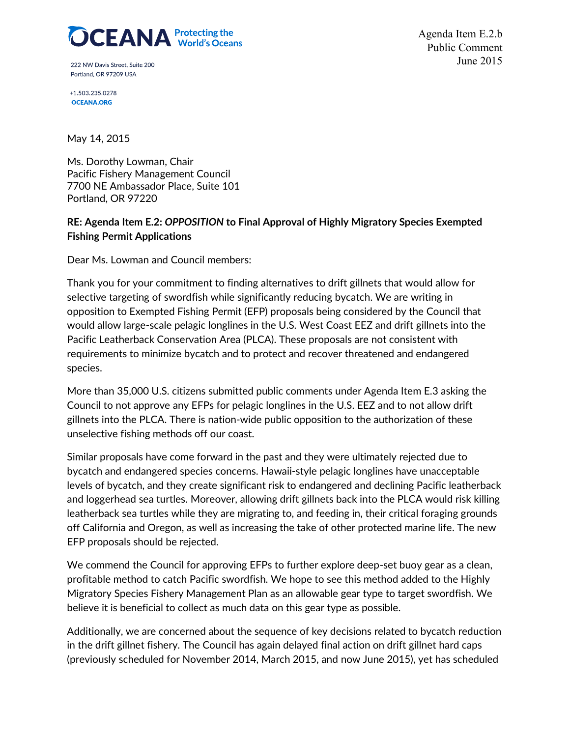

222 NW Davis Street, Suite 200 Portland, OR 97209 USA

Agenda Item E.2.b Public Comment June 2015

+1.503.235.0278 **OCEANA.ORG** 

May 14, 2015

Ms. Dorothy Lowman, Chair Pacific Fishery Management Council 7700 NE Ambassador Place, Suite 101 Portland, OR 97220

## **RE: Agenda Item E.2:** *OPPOSITION* **to Final Approval of Highly Migratory Species Exempted Fishing Permit Applications**

Dear Ms. Lowman and Council members:

Thank you for your commitment to finding alternatives to drift gillnets that would allow for selective targeting of swordfish while significantly reducing bycatch. We are writing in opposition to Exempted Fishing Permit (EFP) proposals being considered by the Council that would allow large-scale pelagic longlines in the U.S. West Coast EEZ and drift gillnets into the Pacific Leatherback Conservation Area (PLCA). These proposals are not consistent with requirements to minimize bycatch and to protect and recover threatened and endangered species.

More than 35,000 U.S. citizens submitted public comments under Agenda Item E.3 asking the Council to not approve any EFPs for pelagic longlines in the U.S. EEZ and to not allow drift gillnets into the PLCA. There is nation-wide public opposition to the authorization of these unselective fishing methods off our coast.

Similar proposals have come forward in the past and they were ultimately rejected due to bycatch and endangered species concerns. Hawaii-style pelagic longlines have unacceptable levels of bycatch, and they create significant risk to endangered and declining Pacific leatherback and loggerhead sea turtles. Moreover, allowing drift gillnets back into the PLCA would risk killing leatherback sea turtles while they are migrating to, and feeding in, their critical foraging grounds off California and Oregon, as well as increasing the take of other protected marine life. The new EFP proposals should be rejected.

We commend the Council for approving EFPs to further explore deep-set buoy gear as a clean, profitable method to catch Pacific swordfish. We hope to see this method added to the Highly Migratory Species Fishery Management Plan as an allowable gear type to target swordfish. We believe it is beneficial to collect as much data on this gear type as possible.

Additionally, we are concerned about the sequence of key decisions related to bycatch reduction in the drift gillnet fishery. The Council has again delayed final action on drift gillnet hard caps (previously scheduled for November 2014, March 2015, and now June 2015), yet has scheduled